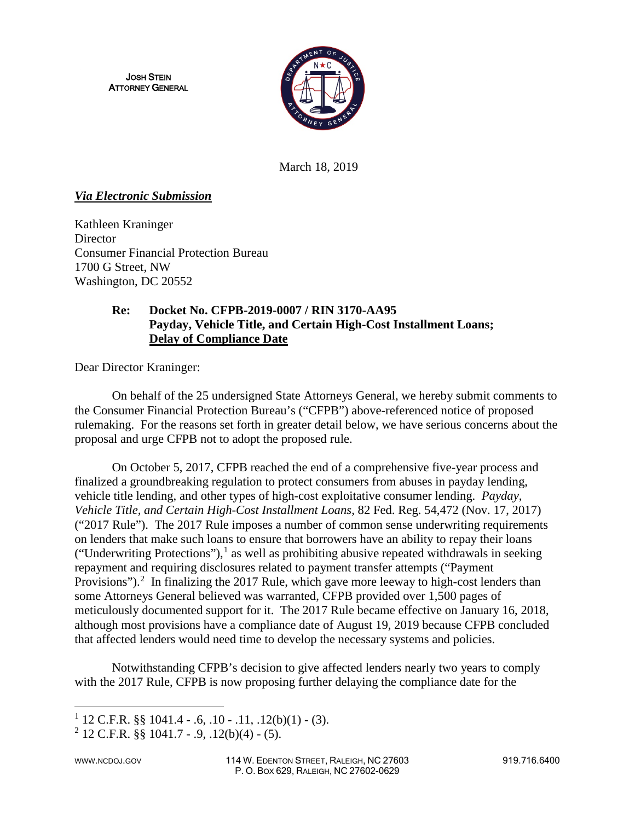JOSH STEIN ATTORNEY GENERAL



March 18, 2019

#### *Via Electronic Submission*

Kathleen Kraninger **Director** Consumer Financial Protection Bureau 1700 G Street, NW Washington, DC 20552

## **Re: Docket No. CFPB-2019-0007 / RIN 3170-AA95 Payday, Vehicle Title, and Certain High-Cost Installment Loans; Delay of Compliance Date**

Dear Director Kraninger:

On behalf of the 25 undersigned State Attorneys General, we hereby submit comments to the Consumer Financial Protection Bureau's ("CFPB") above-referenced notice of proposed rulemaking. For the reasons set forth in greater detail below, we have serious concerns about the proposal and urge CFPB not to adopt the proposed rule.

On October 5, 2017, CFPB reached the end of a comprehensive five-year process and finalized a groundbreaking regulation to protect consumers from abuses in payday lending, vehicle title lending, and other types of high-cost exploitative consumer lending. *Payday, Vehicle Title, and Certain High-Cost Installment Loans*, 82 Fed. Reg. 54,472 (Nov. 17, 2017) ("2017 Rule"). The 2017 Rule imposes a number of common sense underwriting requirements on lenders that make such loans to ensure that borrowers have an ability to repay their loans ("Underwriting Protections"),<sup>[1](#page-0-0)</sup> as well as prohibiting abusive repeated withdrawals in seeking repayment and requiring disclosures related to payment transfer attempts ("Payment Provisions").<sup>[2](#page-0-1)</sup> In finalizing the 2017 Rule, which gave more leeway to high-cost lenders than some Attorneys General believed was warranted, CFPB provided over 1,500 pages of meticulously documented support for it. The 2017 Rule became effective on January 16, 2018, although most provisions have a compliance date of August 19, 2019 because CFPB concluded that affected lenders would need time to develop the necessary systems and policies.

Notwithstanding CFPB's decision to give affected lenders nearly two years to comply with the 2017 Rule, CFPB is now proposing further delaying the compliance date for the

 $\overline{\phantom{a}}$ 

<span id="page-0-0"></span> $1$  12 C.F.R. §§ 1041.4 - .6, .10 - .11, .12(b)(1) - (3).

<span id="page-0-1"></span> $^{2}$  12 C.F.R. §§ 1041.7 - .9, .12(b)(4) - (5).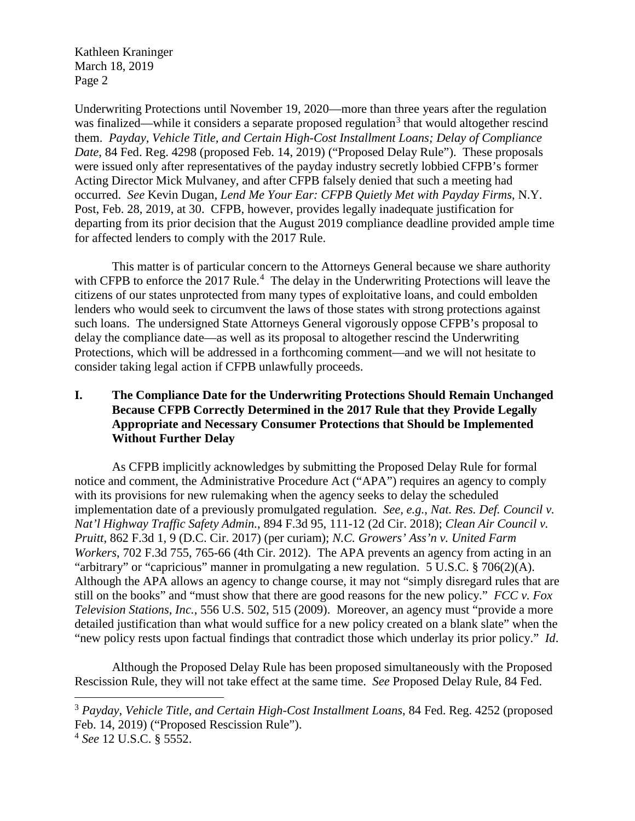Underwriting Protections until November 19, 2020—more than three years after the regulation was finalized—while it considers a separate proposed regulation<sup>[3](#page-1-0)</sup> that would altogether rescind them. *Payday, Vehicle Title, and Certain High-Cost Installment Loans; Delay of Compliance Date*, 84 Fed. Reg. 4298 (proposed Feb. 14, 2019) ("Proposed Delay Rule"). These proposals were issued only after representatives of the payday industry secretly lobbied CFPB's former Acting Director Mick Mulvaney, and after CFPB falsely denied that such a meeting had occurred. *See* Kevin Dugan, *Lend Me Your Ear: CFPB Quietly Met with Payday Firms*, N.Y. Post, Feb. 28, 2019, at 30. CFPB, however, provides legally inadequate justification for departing from its prior decision that the August 2019 compliance deadline provided ample time for affected lenders to comply with the 2017 Rule.

This matter is of particular concern to the Attorneys General because we share authority with CFPB to enforce the 2017 Rule. $4$  The delay in the Underwriting Protections will leave the citizens of our states unprotected from many types of exploitative loans, and could embolden lenders who would seek to circumvent the laws of those states with strong protections against such loans. The undersigned State Attorneys General vigorously oppose CFPB's proposal to delay the compliance date—as well as its proposal to altogether rescind the Underwriting Protections, which will be addressed in a forthcoming comment—and we will not hesitate to consider taking legal action if CFPB unlawfully proceeds.

## **I. The Compliance Date for the Underwriting Protections Should Remain Unchanged Because CFPB Correctly Determined in the 2017 Rule that they Provide Legally Appropriate and Necessary Consumer Protections that Should be Implemented Without Further Delay**

As CFPB implicitly acknowledges by submitting the Proposed Delay Rule for formal notice and comment, the Administrative Procedure Act ("APA") requires an agency to comply with its provisions for new rulemaking when the agency seeks to delay the scheduled implementation date of a previously promulgated regulation. *See, e.g.*, *Nat. Res. Def. Council v. Nat'l Highway Traffic Safety Admin.*, 894 F.3d 95, 111-12 (2d Cir. 2018); *Clean Air Council v. Pruitt*, 862 F.3d 1, 9 (D.C. Cir. 2017) (per curiam); *N.C. Growers' Ass'n v. United Farm Workers*, 702 F.3d 755, 765-66 (4th Cir. 2012). The APA prevents an agency from acting in an "arbitrary" or "capricious" manner in promulgating a new regulation. 5 U.S.C. § 706(2)(A). Although the APA allows an agency to change course, it may not "simply disregard rules that are still on the books" and "must show that there are good reasons for the new policy." *FCC v. Fox Television Stations*, *Inc.*, 556 U.S. 502, 515 (2009). Moreover, an agency must "provide a more detailed justification than what would suffice for a new policy created on a blank slate" when the "new policy rests upon factual findings that contradict those which underlay its prior policy." *Id*.

Although the Proposed Delay Rule has been proposed simultaneously with the Proposed Rescission Rule, they will not take effect at the same time. *See* Proposed Delay Rule, 84 Fed.

l

<span id="page-1-0"></span><sup>3</sup> *Payday, Vehicle Title, and Certain High-Cost Installment Loans*, 84 Fed. Reg. 4252 (proposed Feb. 14, 2019) ("Proposed Rescission Rule").

<span id="page-1-1"></span><sup>4</sup> *See* 12 U.S.C. § 5552.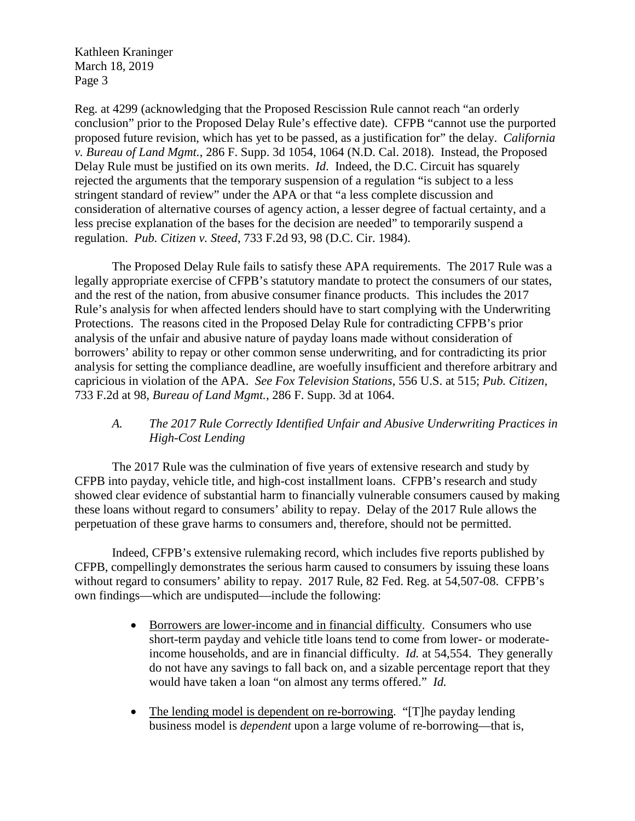Reg. at 4299 (acknowledging that the Proposed Rescission Rule cannot reach "an orderly conclusion" prior to the Proposed Delay Rule's effective date). CFPB "cannot use the purported proposed future revision, which has yet to be passed, as a justification for" the delay. *California v. Bureau of Land Mgmt.*, 286 F. Supp. 3d 1054, 1064 (N.D. Cal. 2018). Instead, the Proposed Delay Rule must be justified on its own merits. *Id*. Indeed, the D.C. Circuit has squarely rejected the arguments that the temporary suspension of a regulation "is subject to a less stringent standard of review" under the APA or that "a less complete discussion and consideration of alternative courses of agency action, a lesser degree of factual certainty, and a less precise explanation of the bases for the decision are needed" to temporarily suspend a regulation. *Pub. Citizen v. Steed*, 733 F.2d 93, 98 (D.C. Cir. 1984).

The Proposed Delay Rule fails to satisfy these APA requirements. The 2017 Rule was a legally appropriate exercise of CFPB's statutory mandate to protect the consumers of our states, and the rest of the nation, from abusive consumer finance products. This includes the 2017 Rule's analysis for when affected lenders should have to start complying with the Underwriting Protections. The reasons cited in the Proposed Delay Rule for contradicting CFPB's prior analysis of the unfair and abusive nature of payday loans made without consideration of borrowers' ability to repay or other common sense underwriting, and for contradicting its prior analysis for setting the compliance deadline, are woefully insufficient and therefore arbitrary and capricious in violation of the APA. *See Fox Television Stations*, 556 U.S. at 515; *Pub. Citizen*, 733 F.2d at 98, *Bureau of Land Mgmt.*, 286 F. Supp. 3d at 1064.

# *A. The 2017 Rule Correctly Identified Unfair and Abusive Underwriting Practices in High-Cost Lending*

The 2017 Rule was the culmination of five years of extensive research and study by CFPB into payday, vehicle title, and high-cost installment loans. CFPB's research and study showed clear evidence of substantial harm to financially vulnerable consumers caused by making these loans without regard to consumers' ability to repay. Delay of the 2017 Rule allows the perpetuation of these grave harms to consumers and, therefore, should not be permitted.

Indeed, CFPB's extensive rulemaking record, which includes five reports published by CFPB, compellingly demonstrates the serious harm caused to consumers by issuing these loans without regard to consumers' ability to repay. 2017 Rule, 82 Fed. Reg. at 54,507-08. CFPB's own findings—which are undisputed—include the following:

- Borrowers are lower-income and in financial difficulty. Consumers who use short-term payday and vehicle title loans tend to come from lower- or moderateincome households, and are in financial difficulty. *Id.* at 54,554. They generally do not have any savings to fall back on, and a sizable percentage report that they would have taken a loan "on almost any terms offered." *Id.*
- The lending model is dependent on re-borrowing. "[T]he payday lending business model is *dependent* upon a large volume of re-borrowing—that is,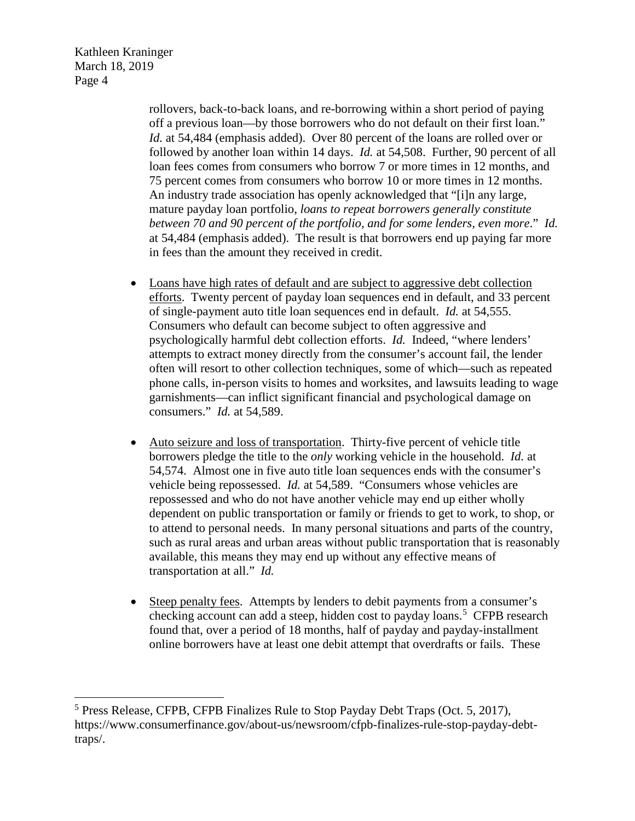l

rollovers, back-to-back loans, and re-borrowing within a short period of paying off a previous loan—by those borrowers who do not default on their first loan." *Id.* at 54,484 (emphasis added). Over 80 percent of the loans are rolled over or followed by another loan within 14 days. *Id.* at 54,508. Further, 90 percent of all loan fees comes from consumers who borrow 7 or more times in 12 months, and 75 percent comes from consumers who borrow 10 or more times in 12 months. An industry trade association has openly acknowledged that "[i]n any large, mature payday loan portfolio, *loans to repeat borrowers generally constitute between 70 and 90 percent of the portfolio, and for some lenders, even more*." *Id.* at 54,484 (emphasis added). The result is that borrowers end up paying far more in fees than the amount they received in credit.

- Loans have high rates of default and are subject to aggressive debt collection efforts. Twenty percent of payday loan sequences end in default, and 33 percent of single-payment auto title loan sequences end in default. *Id.* at 54,555. Consumers who default can become subject to often aggressive and psychologically harmful debt collection efforts. *Id.* Indeed, "where lenders' attempts to extract money directly from the consumer's account fail, the lender often will resort to other collection techniques, some of which—such as repeated phone calls, in-person visits to homes and worksites, and lawsuits leading to wage garnishments—can inflict significant financial and psychological damage on consumers." *Id.* at 54,589.
- Auto seizure and loss of transportation. Thirty-five percent of vehicle title borrowers pledge the title to the *only* working vehicle in the household. *Id.* at 54,574. Almost one in five auto title loan sequences ends with the consumer's vehicle being repossessed. *Id.* at 54,589. "Consumers whose vehicles are repossessed and who do not have another vehicle may end up either wholly dependent on public transportation or family or friends to get to work, to shop, or to attend to personal needs. In many personal situations and parts of the country, such as rural areas and urban areas without public transportation that is reasonably available, this means they may end up without any effective means of transportation at all." *Id.*
- Steep penalty fees. Attempts by lenders to debit payments from a consumer's checking account can add a steep, hidden cost to payday loans.<sup>[5](#page-3-0)</sup> CFPB research found that, over a period of 18 months, half of payday and payday-installment online borrowers have at least one debit attempt that overdrafts or fails. These

<span id="page-3-0"></span><sup>5</sup> Press Release, CFPB, CFPB Finalizes Rule to Stop Payday Debt Traps (Oct. 5, 2017), https://www.consumerfinance.gov/about-us/newsroom/cfpb-finalizes-rule-stop-payday-debttraps/.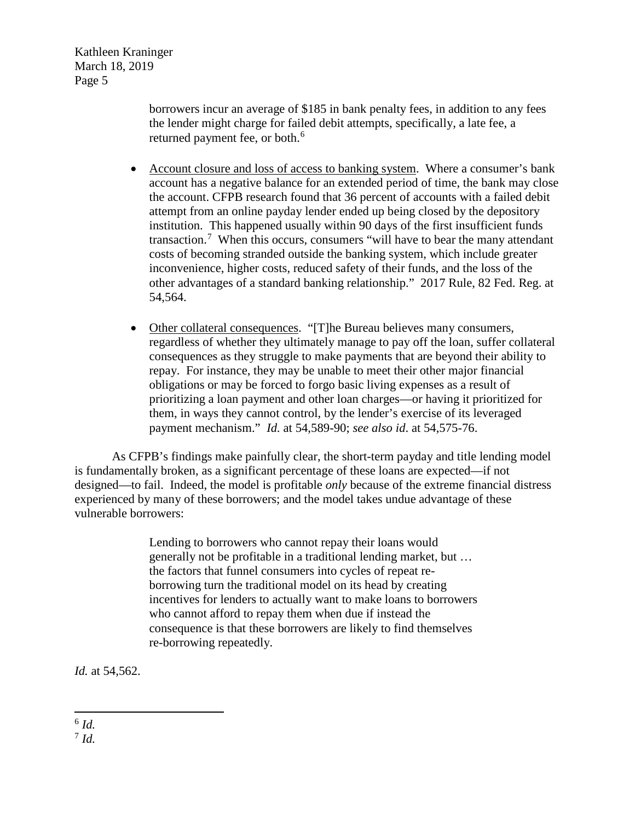> borrowers incur an average of \$185 in bank penalty fees, in addition to any fees the lender might charge for failed debit attempts, specifically, a late fee, a returned payment fee, or both.<sup>[6](#page-4-0)</sup>

- Account closure and loss of access to banking system. Where a consumer's bank account has a negative balance for an extended period of time, the bank may close the account. CFPB research found that 36 percent of accounts with a failed debit attempt from an online payday lender ended up being closed by the depository institution. This happened usually within 90 days of the first insufficient funds transaction.<sup>[7](#page-4-1)</sup> When this occurs, consumers "will have to bear the many attendant costs of becoming stranded outside the banking system, which include greater inconvenience, higher costs, reduced safety of their funds, and the loss of the other advantages of a standard banking relationship." 2017 Rule, 82 Fed. Reg. at 54,564.
- Other collateral consequences. "[T]he Bureau believes many consumers, regardless of whether they ultimately manage to pay off the loan, suffer collateral consequences as they struggle to make payments that are beyond their ability to repay. For instance, they may be unable to meet their other major financial obligations or may be forced to forgo basic living expenses as a result of prioritizing a loan payment and other loan charges—or having it prioritized for them, in ways they cannot control, by the lender's exercise of its leveraged payment mechanism." *Id.* at 54,589-90; *see also id*. at 54,575-76.

As CFPB's findings make painfully clear, the short-term payday and title lending model is fundamentally broken, as a significant percentage of these loans are expected—if not designed—to fail. Indeed, the model is profitable *only* because of the extreme financial distress experienced by many of these borrowers; and the model takes undue advantage of these vulnerable borrowers:

> Lending to borrowers who cannot repay their loans would generally not be profitable in a traditional lending market, but … the factors that funnel consumers into cycles of repeat reborrowing turn the traditional model on its head by creating incentives for lenders to actually want to make loans to borrowers who cannot afford to repay them when due if instead the consequence is that these borrowers are likely to find themselves re-borrowing repeatedly.

*Id.* at 54,562.

<span id="page-4-0"></span>l <sup>6</sup> *Id.*

<span id="page-4-1"></span><sup>7</sup> *Id.*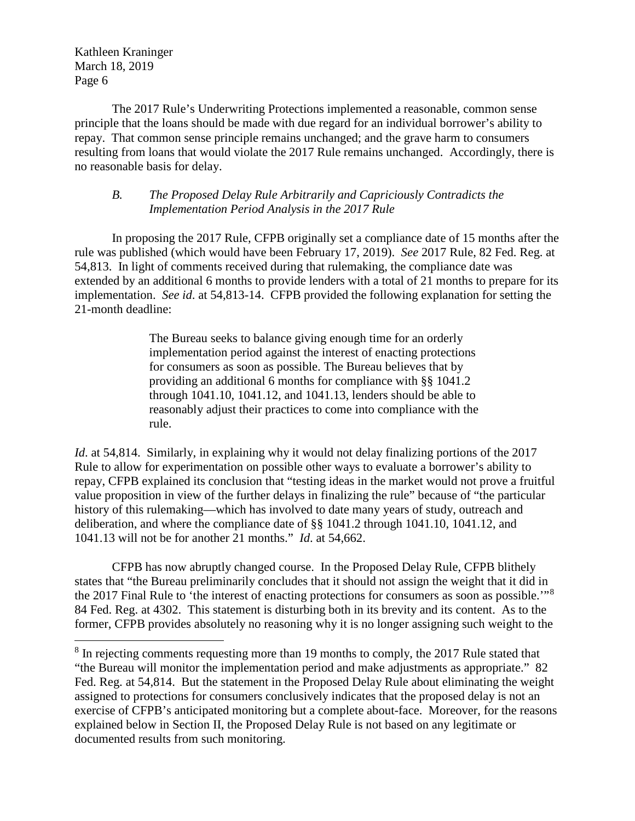l

The 2017 Rule's Underwriting Protections implemented a reasonable, common sense principle that the loans should be made with due regard for an individual borrower's ability to repay. That common sense principle remains unchanged; and the grave harm to consumers resulting from loans that would violate the 2017 Rule remains unchanged. Accordingly, there is no reasonable basis for delay.

#### *B. The Proposed Delay Rule Arbitrarily and Capriciously Contradicts the Implementation Period Analysis in the 2017 Rule*

In proposing the 2017 Rule, CFPB originally set a compliance date of 15 months after the rule was published (which would have been February 17, 2019). *See* 2017 Rule, 82 Fed. Reg. at 54,813. In light of comments received during that rulemaking, the compliance date was extended by an additional 6 months to provide lenders with a total of 21 months to prepare for its implementation. *See id*. at 54,813-14. CFPB provided the following explanation for setting the 21-month deadline:

> The Bureau seeks to balance giving enough time for an orderly implementation period against the interest of enacting protections for consumers as soon as possible. The Bureau believes that by providing an additional 6 months for compliance with §§ 1041.2 through 1041.10, 1041.12, and 1041.13, lenders should be able to reasonably adjust their practices to come into compliance with the rule.

*Id.* at 54,814. Similarly, in explaining why it would not delay finalizing portions of the 2017 Rule to allow for experimentation on possible other ways to evaluate a borrower's ability to repay, CFPB explained its conclusion that "testing ideas in the market would not prove a fruitful value proposition in view of the further delays in finalizing the rule" because of "the particular history of this rulemaking—which has involved to date many years of study, outreach and deliberation, and where the compliance date of §§ 1041.2 through 1041.10, 1041.12, and 1041.13 will not be for another 21 months." *Id*. at 54,662.

CFPB has now abruptly changed course. In the Proposed Delay Rule, CFPB blithely states that "the Bureau preliminarily concludes that it should not assign the weight that it did in the 2017 Final Rule to 'the interest of enacting protections for consumers as soon as possible."<sup>[8](#page-5-0)</sup> 84 Fed. Reg. at 4302. This statement is disturbing both in its brevity and its content. As to the former, CFPB provides absolutely no reasoning why it is no longer assigning such weight to the

<span id="page-5-0"></span><sup>&</sup>lt;sup>8</sup> In rejecting comments requesting more than 19 months to comply, the 2017 Rule stated that "the Bureau will monitor the implementation period and make adjustments as appropriate." 82 Fed. Reg. at 54,814. But the statement in the Proposed Delay Rule about eliminating the weight assigned to protections for consumers conclusively indicates that the proposed delay is not an exercise of CFPB's anticipated monitoring but a complete about-face. Moreover, for the reasons explained below in Section II, the Proposed Delay Rule is not based on any legitimate or documented results from such monitoring.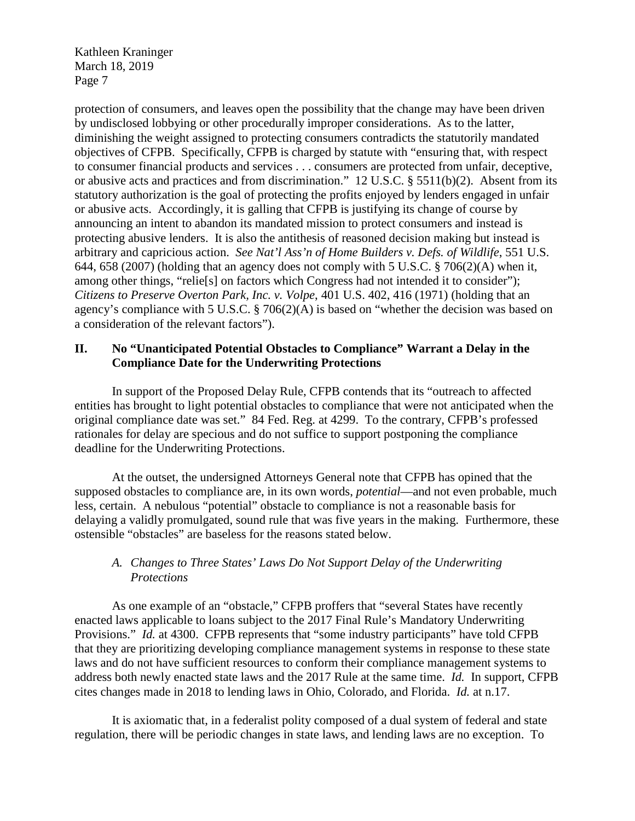protection of consumers, and leaves open the possibility that the change may have been driven by undisclosed lobbying or other procedurally improper considerations. As to the latter, diminishing the weight assigned to protecting consumers contradicts the statutorily mandated objectives of CFPB. Specifically, CFPB is charged by statute with "ensuring that, with respect to consumer financial products and services . . . consumers are protected from unfair, deceptive, or abusive acts and practices and from discrimination." 12 U.S.C. § 5511(b)(2). Absent from its statutory authorization is the goal of protecting the profits enjoyed by lenders engaged in unfair or abusive acts. Accordingly, it is galling that CFPB is justifying its change of course by announcing an intent to abandon its mandated mission to protect consumers and instead is protecting abusive lenders. It is also the antithesis of reasoned decision making but instead is arbitrary and capricious action. *See Nat'l Ass'n of Home Builders v. Defs. of Wildlife*, 551 U.S. 644, 658 (2007) (holding that an agency does not comply with 5 U.S.C. § 706(2)(A) when it, among other things, "relie[s] on factors which Congress had not intended it to consider"); *Citizens to Preserve Overton Park, Inc. v. Volpe*, 401 U.S. 402, 416 (1971) (holding that an agency's compliance with 5 U.S.C. § 706(2)(A) is based on "whether the decision was based on a consideration of the relevant factors").

### **II. No "Unanticipated Potential Obstacles to Compliance" Warrant a Delay in the Compliance Date for the Underwriting Protections**

In support of the Proposed Delay Rule, CFPB contends that its "outreach to affected entities has brought to light potential obstacles to compliance that were not anticipated when the original compliance date was set." 84 Fed. Reg. at 4299. To the contrary, CFPB's professed rationales for delay are specious and do not suffice to support postponing the compliance deadline for the Underwriting Protections.

At the outset, the undersigned Attorneys General note that CFPB has opined that the supposed obstacles to compliance are, in its own words, *potential*—and not even probable, much less, certain. A nebulous "potential" obstacle to compliance is not a reasonable basis for delaying a validly promulgated, sound rule that was five years in the making. Furthermore, these ostensible "obstacles" are baseless for the reasons stated below.

## *A. Changes to Three States' Laws Do Not Support Delay of the Underwriting Protections*

As one example of an "obstacle," CFPB proffers that "several States have recently enacted laws applicable to loans subject to the 2017 Final Rule's Mandatory Underwriting Provisions." *Id.* at 4300. CFPB represents that "some industry participants" have told CFPB that they are prioritizing developing compliance management systems in response to these state laws and do not have sufficient resources to conform their compliance management systems to address both newly enacted state laws and the 2017 Rule at the same time. *Id.* In support, CFPB cites changes made in 2018 to lending laws in Ohio, Colorado, and Florida. *Id.* at n.17.

It is axiomatic that, in a federalist polity composed of a dual system of federal and state regulation, there will be periodic changes in state laws, and lending laws are no exception. To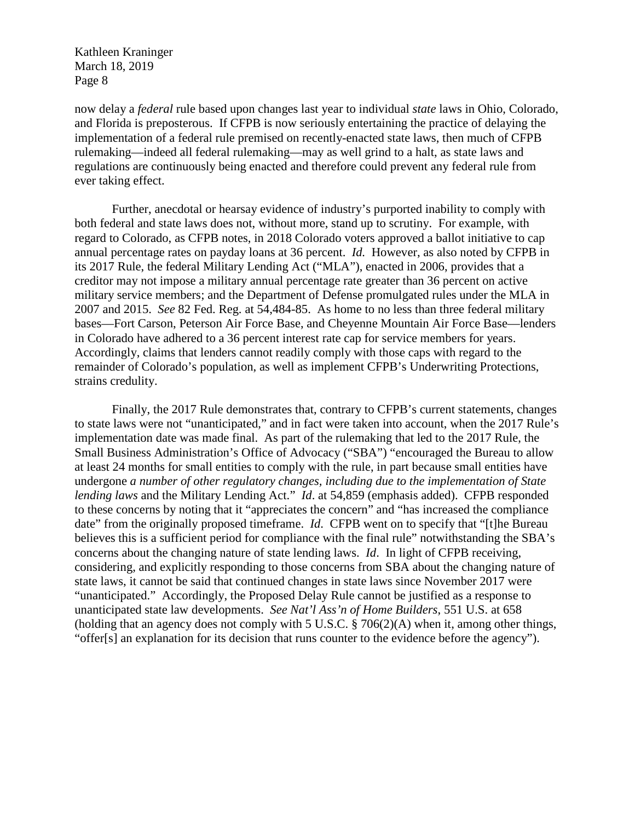now delay a *federal* rule based upon changes last year to individual *state* laws in Ohio, Colorado, and Florida is preposterous. If CFPB is now seriously entertaining the practice of delaying the implementation of a federal rule premised on recently-enacted state laws, then much of CFPB rulemaking—indeed all federal rulemaking—may as well grind to a halt, as state laws and regulations are continuously being enacted and therefore could prevent any federal rule from ever taking effect.

Further, anecdotal or hearsay evidence of industry's purported inability to comply with both federal and state laws does not, without more, stand up to scrutiny. For example, with regard to Colorado, as CFPB notes, in 2018 Colorado voters approved a ballot initiative to cap annual percentage rates on payday loans at 36 percent. *Id.* However, as also noted by CFPB in its 2017 Rule, the federal Military Lending Act ("MLA"), enacted in 2006, provides that a creditor may not impose a military annual percentage rate greater than 36 percent on active military service members; and the Department of Defense promulgated rules under the MLA in 2007 and 2015. *See* 82 Fed. Reg. at 54,484-85. As home to no less than three federal military bases—Fort Carson, Peterson Air Force Base, and Cheyenne Mountain Air Force Base—lenders in Colorado have adhered to a 36 percent interest rate cap for service members for years. Accordingly, claims that lenders cannot readily comply with those caps with regard to the remainder of Colorado's population, as well as implement CFPB's Underwriting Protections, strains credulity.

Finally, the 2017 Rule demonstrates that, contrary to CFPB's current statements, changes to state laws were not "unanticipated," and in fact were taken into account, when the 2017 Rule's implementation date was made final. As part of the rulemaking that led to the 2017 Rule, the Small Business Administration's Office of Advocacy ("SBA") "encouraged the Bureau to allow at least 24 months for small entities to comply with the rule, in part because small entities have undergone *a number of other regulatory changes, including due to the implementation of State lending laws* and the Military Lending Act." *Id*. at 54,859 (emphasis added). CFPB responded to these concerns by noting that it "appreciates the concern" and "has increased the compliance date" from the originally proposed timeframe. *Id.* CFPB went on to specify that "[t]he Bureau believes this is a sufficient period for compliance with the final rule" notwithstanding the SBA's concerns about the changing nature of state lending laws. *Id*. In light of CFPB receiving, considering, and explicitly responding to those concerns from SBA about the changing nature of state laws, it cannot be said that continued changes in state laws since November 2017 were "unanticipated." Accordingly, the Proposed Delay Rule cannot be justified as a response to unanticipated state law developments. *See Nat'l Ass'n of Home Builders*, 551 U.S. at 658 (holding that an agency does not comply with 5 U.S.C. § 706(2)(A) when it, among other things, "offer[s] an explanation for its decision that runs counter to the evidence before the agency").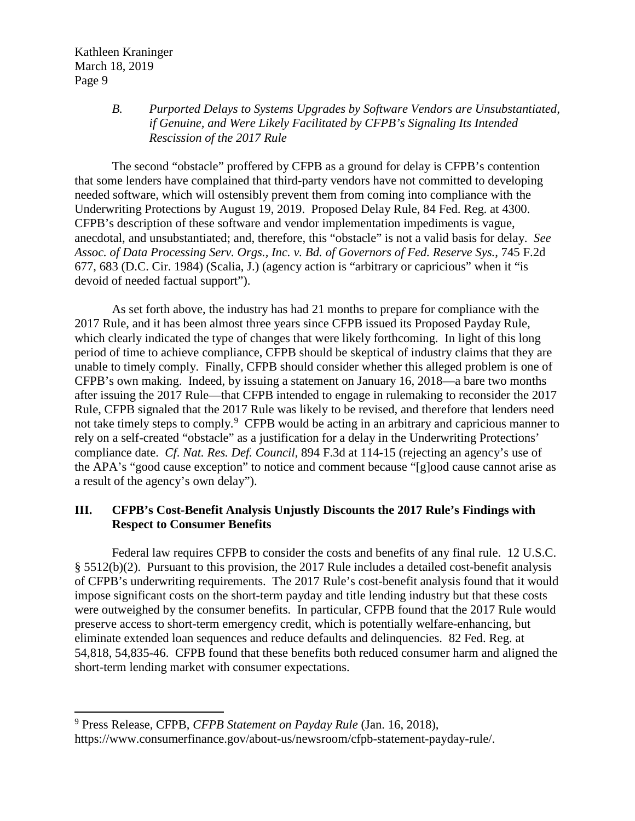l

### *B. Purported Delays to Systems Upgrades by Software Vendors are Unsubstantiated, if Genuine, and Were Likely Facilitated by CFPB's Signaling Its Intended Rescission of the 2017 Rule*

The second "obstacle" proffered by CFPB as a ground for delay is CFPB's contention that some lenders have complained that third-party vendors have not committed to developing needed software, which will ostensibly prevent them from coming into compliance with the Underwriting Protections by August 19, 2019. Proposed Delay Rule, 84 Fed. Reg. at 4300. CFPB's description of these software and vendor implementation impediments is vague, anecdotal, and unsubstantiated; and, therefore, this "obstacle" is not a valid basis for delay. *See Assoc. of Data Processing Serv. Orgs., Inc. v. Bd. of Governors of Fed. Reserve Sys.*, 745 F.2d 677, 683 (D.C. Cir. 1984) (Scalia, J.) (agency action is "arbitrary or capricious" when it "is devoid of needed factual support").

As set forth above, the industry has had 21 months to prepare for compliance with the 2017 Rule, and it has been almost three years since CFPB issued its Proposed Payday Rule, which clearly indicated the type of changes that were likely forthcoming. In light of this long period of time to achieve compliance, CFPB should be skeptical of industry claims that they are unable to timely comply. Finally, CFPB should consider whether this alleged problem is one of CFPB's own making. Indeed, by issuing a statement on January 16, 2018—a bare two months after issuing the 2017 Rule—that CFPB intended to engage in rulemaking to reconsider the 2017 Rule, CFPB signaled that the 2017 Rule was likely to be revised, and therefore that lenders need not take timely steps to comply.<sup>[9](#page-8-0)</sup> CFPB would be acting in an arbitrary and capricious manner to rely on a self-created "obstacle" as a justification for a delay in the Underwriting Protections' compliance date. *Cf*. *Nat. Res. Def. Council*, 894 F.3d at 114-15 (rejecting an agency's use of the APA's "good cause exception" to notice and comment because "[g]ood cause cannot arise as a result of the agency's own delay").

## **III. CFPB's Cost-Benefit Analysis Unjustly Discounts the 2017 Rule's Findings with Respect to Consumer Benefits**

Federal law requires CFPB to consider the costs and benefits of any final rule. 12 U.S.C. § 5512(b)(2). Pursuant to this provision, the 2017 Rule includes a detailed cost-benefit analysis of CFPB's underwriting requirements. The 2017 Rule's cost-benefit analysis found that it would impose significant costs on the short-term payday and title lending industry but that these costs were outweighed by the consumer benefits. In particular, CFPB found that the 2017 Rule would preserve access to short-term emergency credit, which is potentially welfare-enhancing, but eliminate extended loan sequences and reduce defaults and delinquencies. 82 Fed. Reg. at 54,818, 54,835-46. CFPB found that these benefits both reduced consumer harm and aligned the short-term lending market with consumer expectations.

<span id="page-8-0"></span><sup>9</sup> Press Release, CFPB, *CFPB Statement on Payday Rule* (Jan. 16, 2018),

https://www.consumerfinance.gov/about-us/newsroom/cfpb-statement-payday-rule/.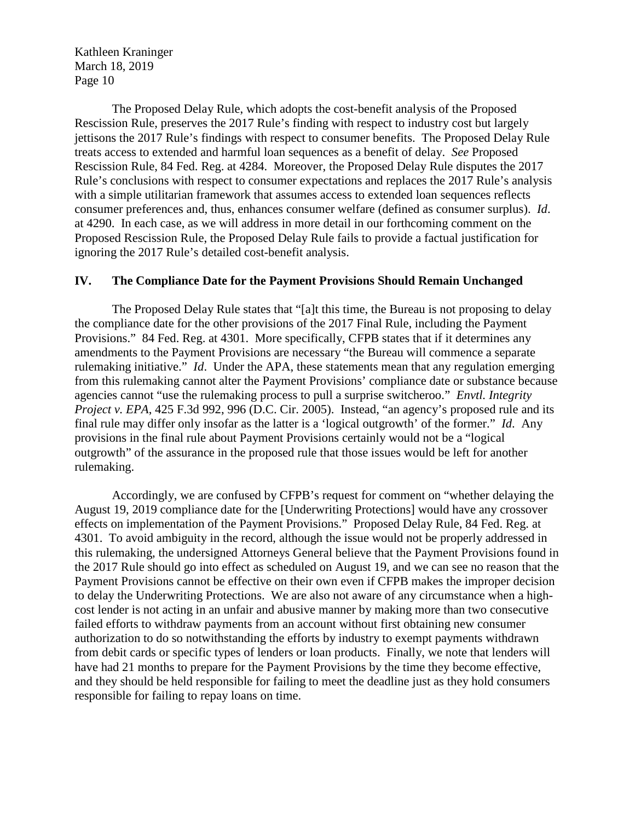The Proposed Delay Rule, which adopts the cost-benefit analysis of the Proposed Rescission Rule, preserves the 2017 Rule's finding with respect to industry cost but largely jettisons the 2017 Rule's findings with respect to consumer benefits. The Proposed Delay Rule treats access to extended and harmful loan sequences as a benefit of delay. *See* Proposed Rescission Rule, 84 Fed. Reg. at 4284. Moreover, the Proposed Delay Rule disputes the 2017 Rule's conclusions with respect to consumer expectations and replaces the 2017 Rule's analysis with a simple utilitarian framework that assumes access to extended loan sequences reflects consumer preferences and, thus, enhances consumer welfare (defined as consumer surplus). *Id*. at 4290. In each case, as we will address in more detail in our forthcoming comment on the Proposed Rescission Rule, the Proposed Delay Rule fails to provide a factual justification for ignoring the 2017 Rule's detailed cost-benefit analysis.

#### **IV. The Compliance Date for the Payment Provisions Should Remain Unchanged**

The Proposed Delay Rule states that "[a]t this time, the Bureau is not proposing to delay the compliance date for the other provisions of the 2017 Final Rule, including the Payment Provisions." 84 Fed. Reg. at 4301. More specifically, CFPB states that if it determines any amendments to the Payment Provisions are necessary "the Bureau will commence a separate rulemaking initiative." *Id*. Under the APA, these statements mean that any regulation emerging from this rulemaking cannot alter the Payment Provisions' compliance date or substance because agencies cannot "use the rulemaking process to pull a surprise switcheroo." *Envtl. Integrity Project v. EPA*, 425 F.3d 992, 996 (D.C. Cir. 2005). Instead, "an agency's proposed rule and its final rule may differ only insofar as the latter is a 'logical outgrowth' of the former." *Id*. Any provisions in the final rule about Payment Provisions certainly would not be a "logical outgrowth" of the assurance in the proposed rule that those issues would be left for another rulemaking.

Accordingly, we are confused by CFPB's request for comment on "whether delaying the August 19, 2019 compliance date for the [Underwriting Protections] would have any crossover effects on implementation of the Payment Provisions." Proposed Delay Rule, 84 Fed. Reg. at 4301. To avoid ambiguity in the record, although the issue would not be properly addressed in this rulemaking, the undersigned Attorneys General believe that the Payment Provisions found in the 2017 Rule should go into effect as scheduled on August 19, and we can see no reason that the Payment Provisions cannot be effective on their own even if CFPB makes the improper decision to delay the Underwriting Protections. We are also not aware of any circumstance when a highcost lender is not acting in an unfair and abusive manner by making more than two consecutive failed efforts to withdraw payments from an account without first obtaining new consumer authorization to do so notwithstanding the efforts by industry to exempt payments withdrawn from debit cards or specific types of lenders or loan products. Finally, we note that lenders will have had 21 months to prepare for the Payment Provisions by the time they become effective, and they should be held responsible for failing to meet the deadline just as they hold consumers responsible for failing to repay loans on time.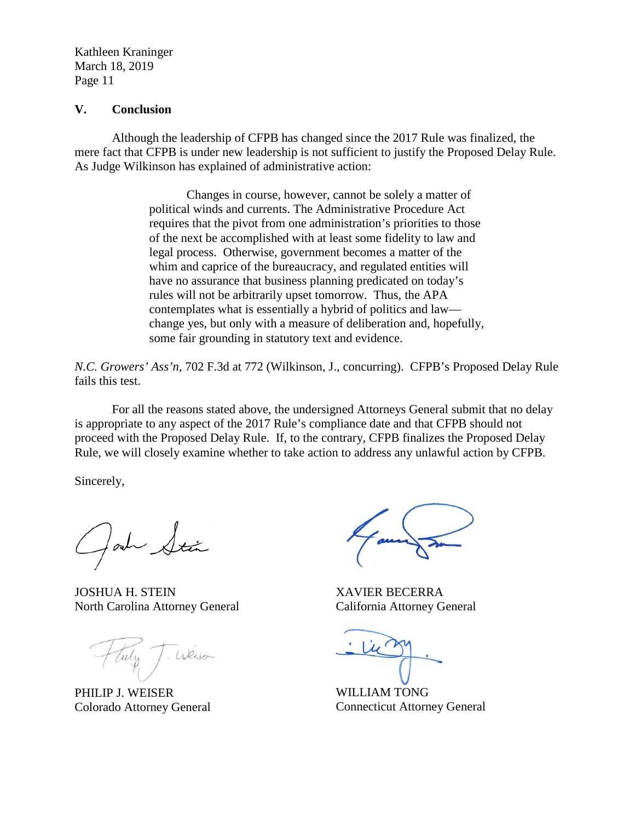#### **V. Conclusion**

Although the leadership of CFPB has changed since the 2017 Rule was finalized, the mere fact that CFPB is under new leadership is not sufficient to justify the Proposed Delay Rule. As Judge Wilkinson has explained of administrative action:

> Changes in course, however, cannot be solely a matter of political winds and currents. The Administrative Procedure Act requires that the pivot from one administration's priorities to those of the next be accomplished with at least some fidelity to law and legal process. Otherwise, government becomes a matter of the whim and caprice of the bureaucracy, and regulated entities will have no assurance that business planning predicated on today's rules will not be arbitrarily upset tomorrow. Thus, the APA contemplates what is essentially a hybrid of politics and law change yes, but only with a measure of deliberation and, hopefully, some fair grounding in statutory text and evidence.

*N.C. Growers' Ass'n*, 702 F.3d at 772 (Wilkinson, J., concurring). CFPB's Proposed Delay Rule fails this test.

For all the reasons stated above, the undersigned Attorneys General submit that no delay is appropriate to any aspect of the 2017 Rule's compliance date and that CFPB should not proceed with the Proposed Delay Rule. If, to the contrary, CFPB finalizes the Proposed Delay Rule, we will closely examine whether to take action to address any unlawful action by CFPB.

Sincerely,

 $l$ ah $-$ 

JOSHUA H. STEIN North Carolina Attorney General

. Weiser tuly 1

PHILIP J. WEISER Colorado Attorney General

XAVIER BECERRA California Attorney General

WILLIAM TONG Connecticut Attorney General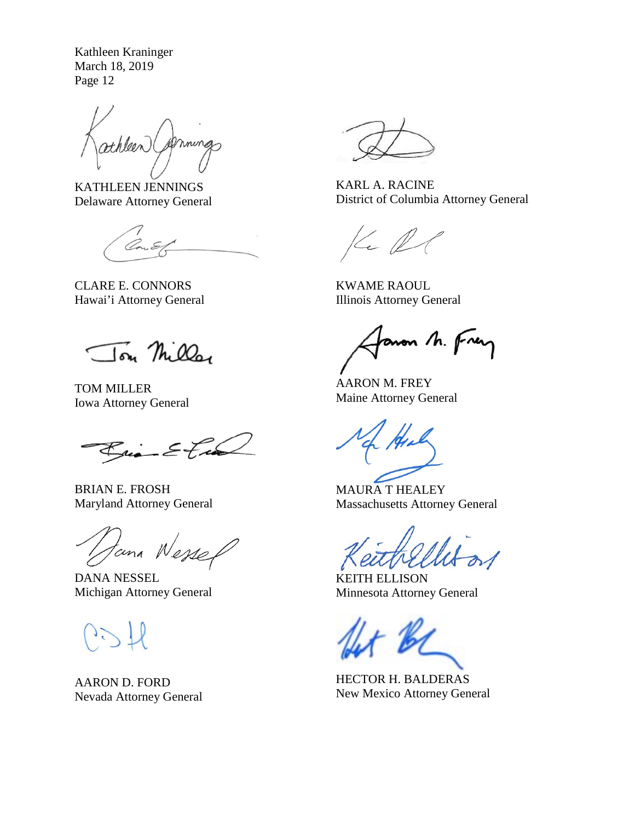athleen mmas

KATHLEEN JENNINGS Delaware Attorney General

CLARE E. CONNORS Hawai'i Attorney General

Ton Miller

TOM MILLER Iowa Attorney General

 $\mathcal{E}_{\mathcal{X}} = \mathcal{E}$  track

BRIAN E. FROSH Maryland Attorney General

Jana Wesse

DANA NESSEL Michigan Attorney General

AARON D. FORD Nevada Attorney General



KARL A. RACINE District of Columbia Attorney General

 $Kel$ 

KWAME RAOUL Illinois Attorney General

anon M. Frey

AARON M. FREY Maine Attorney General

MAURA T HEALEY Massachusetts Attorney General

KEITH ELLISON Minnesota Attorney General

HECTOR H. BALDERAS New Mexico Attorney General